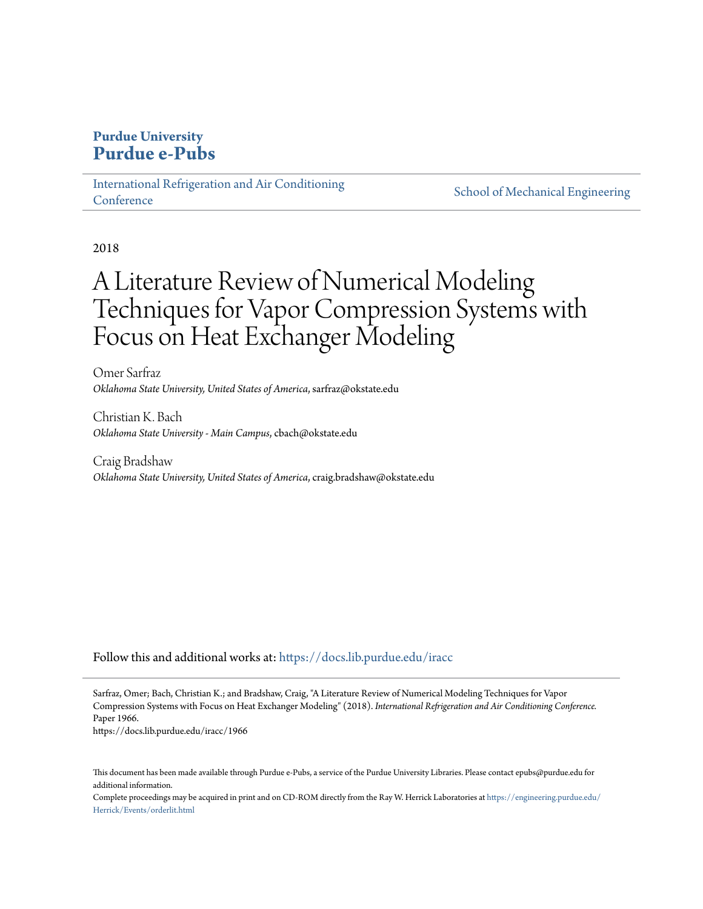# **Purdue University [Purdue e-Pubs](https://docs.lib.purdue.edu?utm_source=docs.lib.purdue.edu%2Firacc%2F1966&utm_medium=PDF&utm_campaign=PDFCoverPages)**

[International Refrigeration and Air Conditioning](https://docs.lib.purdue.edu/iracc?utm_source=docs.lib.purdue.edu%2Firacc%2F1966&utm_medium=PDF&utm_campaign=PDFCoverPages) **[Conference](https://docs.lib.purdue.edu/iracc?utm_source=docs.lib.purdue.edu%2Firacc%2F1966&utm_medium=PDF&utm_campaign=PDFCoverPages)** 

[School of Mechanical Engineering](https://docs.lib.purdue.edu/me?utm_source=docs.lib.purdue.edu%2Firacc%2F1966&utm_medium=PDF&utm_campaign=PDFCoverPages)

2018

# A Literature Review of Numerical Modeling Techniques for Vapor Compression Systems with Focus on Heat Exchanger Modeling

Omer Sarfraz *Oklahoma State University, United States of America*, sarfraz@okstate.edu

Christian K. Bach *Oklahoma State University - Main Campus*, cbach@okstate.edu

Craig Bradshaw *Oklahoma State University, United States of America*, craig.bradshaw@okstate.edu

Follow this and additional works at: [https://docs.lib.purdue.edu/iracc](https://docs.lib.purdue.edu/iracc?utm_source=docs.lib.purdue.edu%2Firacc%2F1966&utm_medium=PDF&utm_campaign=PDFCoverPages)

Sarfraz, Omer; Bach, Christian K.; and Bradshaw, Craig, "A Literature Review of Numerical Modeling Techniques for Vapor Compression Systems with Focus on Heat Exchanger Modeling" (2018). *International Refrigeration and Air Conditioning Conference.* Paper 1966.

https://docs.lib.purdue.edu/iracc/1966

This document has been made available through Purdue e-Pubs, a service of the Purdue University Libraries. Please contact epubs@purdue.edu for additional information.

Complete proceedings may be acquired in print and on CD-ROM directly from the Ray W. Herrick Laboratories at [https://engineering.purdue.edu/](https://engineering.purdue.edu/Herrick/Events/orderlit.html) [Herrick/Events/orderlit.html](https://engineering.purdue.edu/Herrick/Events/orderlit.html)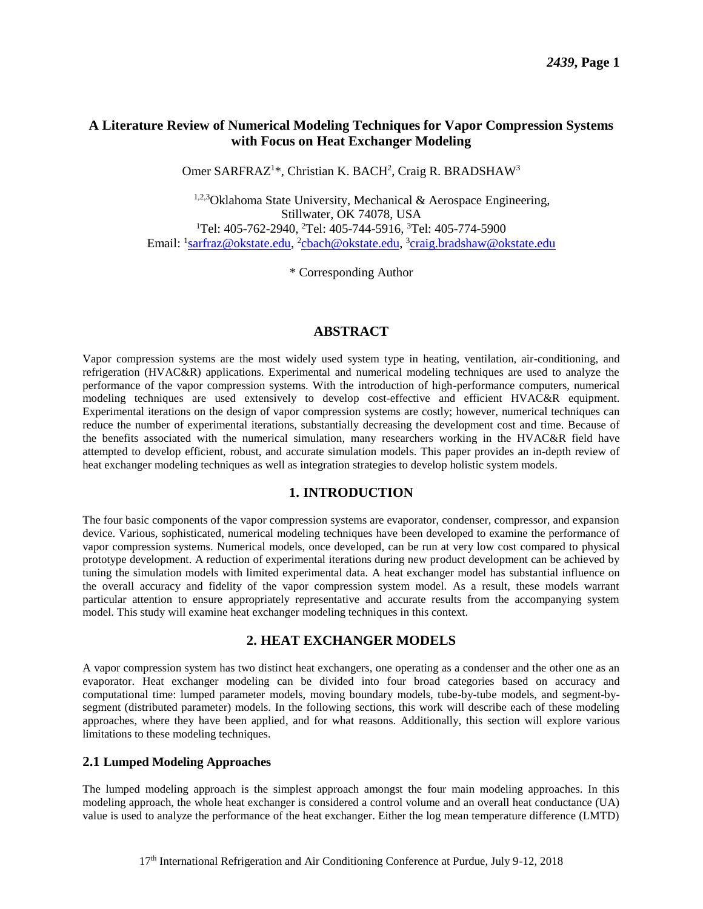#### **A Literature Review of Numerical Modeling Techniques for Vapor Compression Systems with Focus on Heat Exchanger Modeling**

Omer SARFRAZ<sup>1\*</sup>, Christian K. BACH<sup>2</sup>, Craig R. BRADSHAW<sup>3</sup>

 $1,2,3$ Oklahoma State University, Mechanical & Aerospace Engineering, Stillwater, OK 74078, USA <sup>1</sup>Tel: 405-762-2940, <sup>2</sup>Tel: 405-744-5916, <sup>3</sup>Tel: [405-774-5900](tel:405-774-5900) Email: <sup>1</sup>[sarfraz@okstate.edu,](mailto:sarfraz@okstate.edu) <sup>2</sup>[cbach@okstate.edu,](mailto:cbach@okstate.edu) <sup>3</sup>[craig.bradshaw@okstate.edu](mailto:craig.bradshaw@okstate.edu)

\* Corresponding Author

#### **ABSTRACT**

Vapor compression systems are the most widely used system type in heating, ventilation, air-conditioning, and refrigeration (HVAC&R) applications. Experimental and numerical modeling techniques are used to analyze the performance of the vapor compression systems. With the introduction of high-performance computers, numerical modeling techniques are used extensively to develop cost-effective and efficient HVAC&R equipment. Experimental iterations on the design of vapor compression systems are costly; however, numerical techniques can reduce the number of experimental iterations, substantially decreasing the development cost and time. Because of the benefits associated with the numerical simulation, many researchers working in the HVAC&R field have attempted to develop efficient, robust, and accurate simulation models. This paper provides an in-depth review of heat exchanger modeling techniques as well as integration strategies to develop holistic system models.

#### **1. INTRODUCTION**

The four basic components of the vapor compression systems are evaporator, condenser, compressor, and expansion device. Various, sophisticated, numerical modeling techniques have been developed to examine the performance of vapor compression systems. Numerical models, once developed, can be run at very low cost compared to physical prototype development. A reduction of experimental iterations during new product development can be achieved by tuning the simulation models with limited experimental data. A heat exchanger model has substantial influence on the overall accuracy and fidelity of the vapor compression system model. As a result, these models warrant particular attention to ensure appropriately representative and accurate results from the accompanying system model. This study will examine heat exchanger modeling techniques in this context.

#### **2. HEAT EXCHANGER MODELS**

A vapor compression system has two distinct heat exchangers, one operating as a condenser and the other one as an evaporator. Heat exchanger modeling can be divided into four broad categories based on accuracy and computational time: lumped parameter models, moving boundary models, tube-by-tube models, and segment-bysegment (distributed parameter) models. In the following sections, this work will describe each of these modeling approaches, where they have been applied, and for what reasons. Additionally, this section will explore various limitations to these modeling techniques.

#### **2.1 Lumped Modeling Approaches**

The lumped modeling approach is the simplest approach amongst the four main modeling approaches. In this modeling approach, the whole heat exchanger is considered a control volume and an overall heat conductance (UA) value is used to analyze the performance of the heat exchanger. Either the log mean temperature difference (LMTD)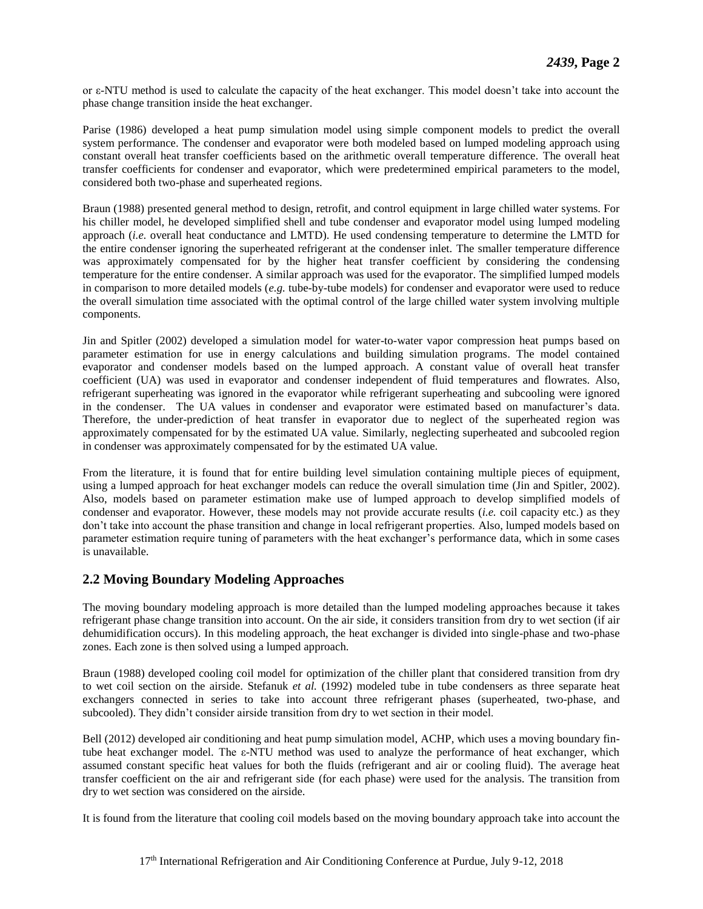or ε-NTU method is used to calculate the capacity of the heat exchanger. This model doesn't take into account the phase change transition inside the heat exchanger.

Parise (1986) developed a heat pump simulation model using simple component models to predict the overall system performance. The condenser and evaporator were both modeled based on lumped modeling approach using constant overall heat transfer coefficients based on the arithmetic overall temperature difference. The overall heat transfer coefficients for condenser and evaporator, which were predetermined empirical parameters to the model, considered both two-phase and superheated regions.

Braun (1988) presented general method to design, retrofit, and control equipment in large chilled water systems. For his chiller model, he developed simplified shell and tube condenser and evaporator model using lumped modeling approach (*i.e.* overall heat conductance and LMTD). He used condensing temperature to determine the LMTD for the entire condenser ignoring the superheated refrigerant at the condenser inlet. The smaller temperature difference was approximately compensated for by the higher heat transfer coefficient by considering the condensing temperature for the entire condenser. A similar approach was used for the evaporator. The simplified lumped models in comparison to more detailed models (*e.g.* tube-by-tube models) for condenser and evaporator were used to reduce the overall simulation time associated with the optimal control of the large chilled water system involving multiple components.

Jin and Spitler (2002) developed a simulation model for water-to-water vapor compression heat pumps based on parameter estimation for use in energy calculations and building simulation programs. The model contained evaporator and condenser models based on the lumped approach. A constant value of overall heat transfer coefficient (UA) was used in evaporator and condenser independent of fluid temperatures and flowrates. Also, refrigerant superheating was ignored in the evaporator while refrigerant superheating and subcooling were ignored in the condenser. The UA values in condenser and evaporator were estimated based on manufacturer's data. Therefore, the under-prediction of heat transfer in evaporator due to neglect of the superheated region was approximately compensated for by the estimated UA value. Similarly, neglecting superheated and subcooled region in condenser was approximately compensated for by the estimated UA value.

From the literature, it is found that for entire building level simulation containing multiple pieces of equipment, using a lumped approach for heat exchanger models can reduce the overall simulation time (Jin and Spitler, 2002). Also, models based on parameter estimation make use of lumped approach to develop simplified models of condenser and evaporator. However, these models may not provide accurate results (*i.e.* coil capacity etc.) as they don't take into account the phase transition and change in local refrigerant properties. Also, lumped models based on parameter estimation require tuning of parameters with the heat exchanger's performance data, which in some cases is unavailable.

#### **2.2 Moving Boundary Modeling Approaches**

The moving boundary modeling approach is more detailed than the lumped modeling approaches because it takes refrigerant phase change transition into account. On the air side, it considers transition from dry to wet section (if air dehumidification occurs). In this modeling approach, the heat exchanger is divided into single-phase and two-phase zones. Each zone is then solved using a lumped approach.

Braun (1988) developed cooling coil model for optimization of the chiller plant that considered transition from dry to wet coil section on the airside. Stefanuk *et al.* (1992) modeled tube in tube condensers as three separate heat exchangers connected in series to take into account three refrigerant phases (superheated, two-phase, and subcooled). They didn't consider airside transition from dry to wet section in their model.

Bell (2012) developed air conditioning and heat pump simulation model, ACHP, which uses a moving boundary fintube heat exchanger model. The ε-NTU method was used to analyze the performance of heat exchanger, which assumed constant specific heat values for both the fluids (refrigerant and air or cooling fluid). The average heat transfer coefficient on the air and refrigerant side (for each phase) were used for the analysis. The transition from dry to wet section was considered on the airside.

It is found from the literature that cooling coil models based on the moving boundary approach take into account the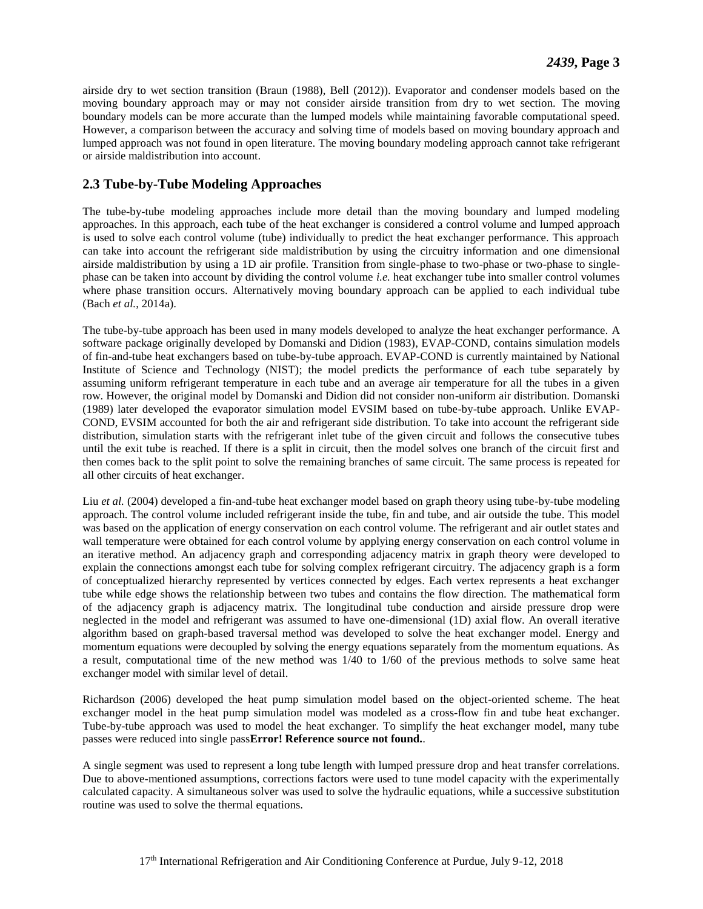airside dry to wet section transition (Braun (1988), Bell (2012)). Evaporator and condenser models based on the moving boundary approach may or may not consider airside transition from dry to wet section. The moving boundary models can be more accurate than the lumped models while maintaining favorable computational speed. However, a comparison between the accuracy and solving time of models based on moving boundary approach and lumped approach was not found in open literature. The moving boundary modeling approach cannot take refrigerant or airside maldistribution into account.

#### **2.3 Tube-by-Tube Modeling Approaches**

The tube-by-tube modeling approaches include more detail than the moving boundary and lumped modeling approaches. In this approach, each tube of the heat exchanger is considered a control volume and lumped approach is used to solve each control volume (tube) individually to predict the heat exchanger performance. This approach can take into account the refrigerant side maldistribution by using the circuitry information and one dimensional airside maldistribution by using a 1D air profile. Transition from single-phase to two-phase or two-phase to singlephase can be taken into account by dividing the control volume *i.e.* heat exchanger tube into smaller control volumes where phase transition occurs. Alternatively moving boundary approach can be applied to each individual tube (Bach *et al.*, 2014a).

The tube-by-tube approach has been used in many models developed to analyze the heat exchanger performance. A software package originally developed by Domanski and Didion (1983), EVAP-COND, contains simulation models of fin-and-tube heat exchangers based on tube-by-tube approach. EVAP-COND is currently maintained by National Institute of Science and Technology (NIST); the model predicts the performance of each tube separately by assuming uniform refrigerant temperature in each tube and an average air temperature for all the tubes in a given row. However, the original model by Domanski and Didion did not consider non-uniform air distribution. Domanski (1989) later developed the evaporator simulation model EVSIM based on tube-by-tube approach. Unlike EVAP-COND, EVSIM accounted for both the air and refrigerant side distribution. To take into account the refrigerant side distribution, simulation starts with the refrigerant inlet tube of the given circuit and follows the consecutive tubes until the exit tube is reached. If there is a split in circuit, then the model solves one branch of the circuit first and then comes back to the split point to solve the remaining branches of same circuit. The same process is repeated for all other circuits of heat exchanger.

Liu *et al.* (2004) developed a fin-and-tube heat exchanger model based on graph theory using tube-by-tube modeling approach. The control volume included refrigerant inside the tube, fin and tube, and air outside the tube. This model was based on the application of energy conservation on each control volume. The refrigerant and air outlet states and wall temperature were obtained for each control volume by applying energy conservation on each control volume in an iterative method. An adjacency graph and corresponding adjacency matrix in graph theory were developed to explain the connections amongst each tube for solving complex refrigerant circuitry. The adjacency graph is a form of conceptualized hierarchy represented by vertices connected by edges. Each vertex represents a heat exchanger tube while edge shows the relationship between two tubes and contains the flow direction. The mathematical form of the adjacency graph is adjacency matrix. The longitudinal tube conduction and airside pressure drop were neglected in the model and refrigerant was assumed to have one-dimensional (1D) axial flow. An overall iterative algorithm based on graph-based traversal method was developed to solve the heat exchanger model. Energy and momentum equations were decoupled by solving the energy equations separately from the momentum equations. As a result, computational time of the new method was 1/40 to 1/60 of the previous methods to solve same heat exchanger model with similar level of detail.

Richardson (2006) developed the heat pump simulation model based on the object-oriented scheme. The heat exchanger model in the heat pump simulation model was modeled as a cross-flow fin and tube heat exchanger. Tube-by-tube approach was used to model the heat exchanger. To simplify the heat exchanger model, many tube passes were reduced into single pass**Error! Reference source not found.**.

A single segment was used to represent a long tube length with lumped pressure drop and heat transfer correlations. Due to above-mentioned assumptions, corrections factors were used to tune model capacity with the experimentally calculated capacity. A simultaneous solver was used to solve the hydraulic equations, while a successive substitution routine was used to solve the thermal equations.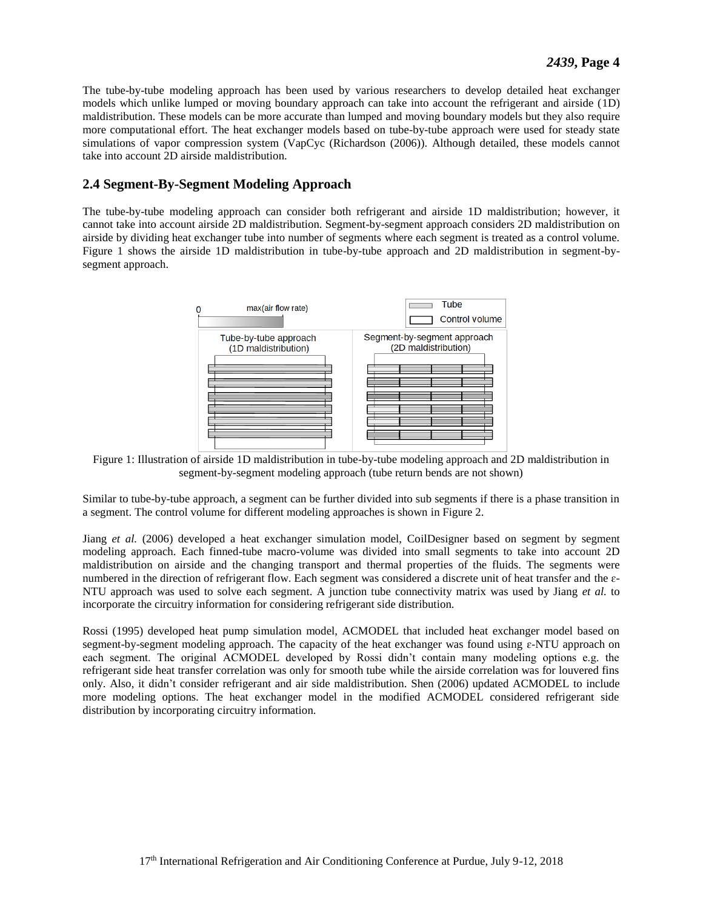The tube-by-tube modeling approach has been used by various researchers to develop detailed heat exchanger models which unlike lumped or moving boundary approach can take into account the refrigerant and airside (1D) maldistribution. These models can be more accurate than lumped and moving boundary models but they also require more computational effort. The heat exchanger models based on tube-by-tube approach were used for steady state simulations of vapor compression system (VapCyc (Richardson (2006)). Although detailed, these models cannot take into account 2D airside maldistribution.

#### **2.4 Segment-By-Segment Modeling Approach**

The tube-by-tube modeling approach can consider both refrigerant and airside 1D maldistribution; however, it cannot take into account airside 2D maldistribution. Segment-by-segment approach considers 2D maldistribution on airside by dividing heat exchanger tube into number of segments where each segment is treated as a control volume. [Figure 1](#page-4-0) shows the airside 1D maldistribution in tube-by-tube approach and 2D maldistribution in segment-bysegment approach.



<span id="page-4-0"></span>Figure 1: Illustration of airside 1D maldistribution in tube-by-tube modeling approach and 2D maldistribution in segment-by-segment modeling approach (tube return bends are not shown)

Similar to tube-by-tube approach, a segment can be further divided into sub segments if there is a phase transition in a segment. The control volume for different modeling approaches is shown in [Figure 2.](#page-5-0)

Jiang *et al.* (2006) developed a heat exchanger simulation model, CoilDesigner based on segment by segment modeling approach. Each finned-tube macro-volume was divided into small segments to take into account 2D maldistribution on airside and the changing transport and thermal properties of the fluids. The segments were numbered in the direction of refrigerant flow. Each segment was considered a discrete unit of heat transfer and the  $\varepsilon$ -NTU approach was used to solve each segment. A junction tube connectivity matrix was used by Jiang *et al.* to incorporate the circuitry information for considering refrigerant side distribution.

Rossi (1995) developed heat pump simulation model, ACMODEL that included heat exchanger model based on segment-by-segment modeling approach. The capacity of the heat exchanger was found using  $\epsilon$ -NTU approach on each segment. The original ACMODEL developed by Rossi didn't contain many modeling options e.g. the refrigerant side heat transfer correlation was only for smooth tube while the airside correlation was for louvered fins only. Also, it didn't consider refrigerant and air side maldistribution. Shen (2006) updated ACMODEL to include more modeling options. The heat exchanger model in the modified ACMODEL considered refrigerant side distribution by incorporating circuitry information.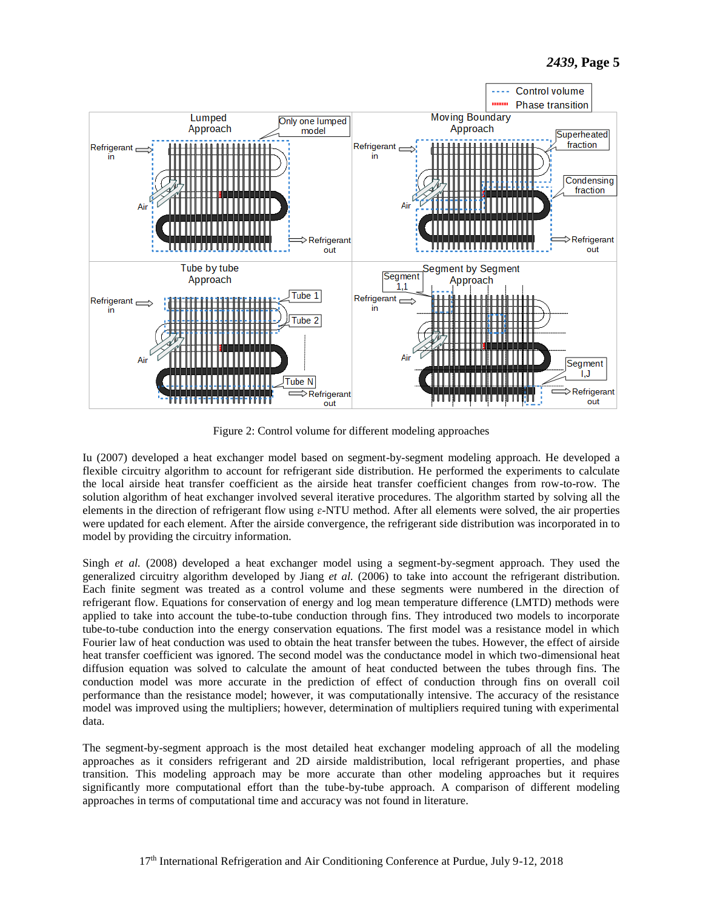

Figure 2: Control volume for different modeling approaches

<span id="page-5-0"></span>Iu (2007) developed a heat exchanger model based on segment-by-segment modeling approach. He developed a flexible circuitry algorithm to account for refrigerant side distribution. He performed the experiments to calculate the local airside heat transfer coefficient as the airside heat transfer coefficient changes from row-to-row. The solution algorithm of heat exchanger involved several iterative procedures. The algorithm started by solving all the elements in the direction of refrigerant flow using ɛ-NTU method. After all elements were solved, the air properties were updated for each element. After the airside convergence, the refrigerant side distribution was incorporated in to model by providing the circuitry information.

Singh *et al.* (2008) developed a heat exchanger model using a segment-by-segment approach. They used the generalized circuitry algorithm developed by Jiang *et al.* (2006) to take into account the refrigerant distribution. Each finite segment was treated as a control volume and these segments were numbered in the direction of refrigerant flow. Equations for conservation of energy and log mean temperature difference (LMTD) methods were applied to take into account the tube-to-tube conduction through fins. They introduced two models to incorporate tube-to-tube conduction into the energy conservation equations. The first model was a resistance model in which Fourier law of heat conduction was used to obtain the heat transfer between the tubes. However, the effect of airside heat transfer coefficient was ignored. The second model was the conductance model in which two-dimensional heat diffusion equation was solved to calculate the amount of heat conducted between the tubes through fins. The conduction model was more accurate in the prediction of effect of conduction through fins on overall coil performance than the resistance model; however, it was computationally intensive. The accuracy of the resistance model was improved using the multipliers; however, determination of multipliers required tuning with experimental data.

The segment-by-segment approach is the most detailed heat exchanger modeling approach of all the modeling approaches as it considers refrigerant and 2D airside maldistribution, local refrigerant properties, and phase transition. This modeling approach may be more accurate than other modeling approaches but it requires significantly more computational effort than the tube-by-tube approach. A comparison of different modeling approaches in terms of computational time and accuracy was not found in literature.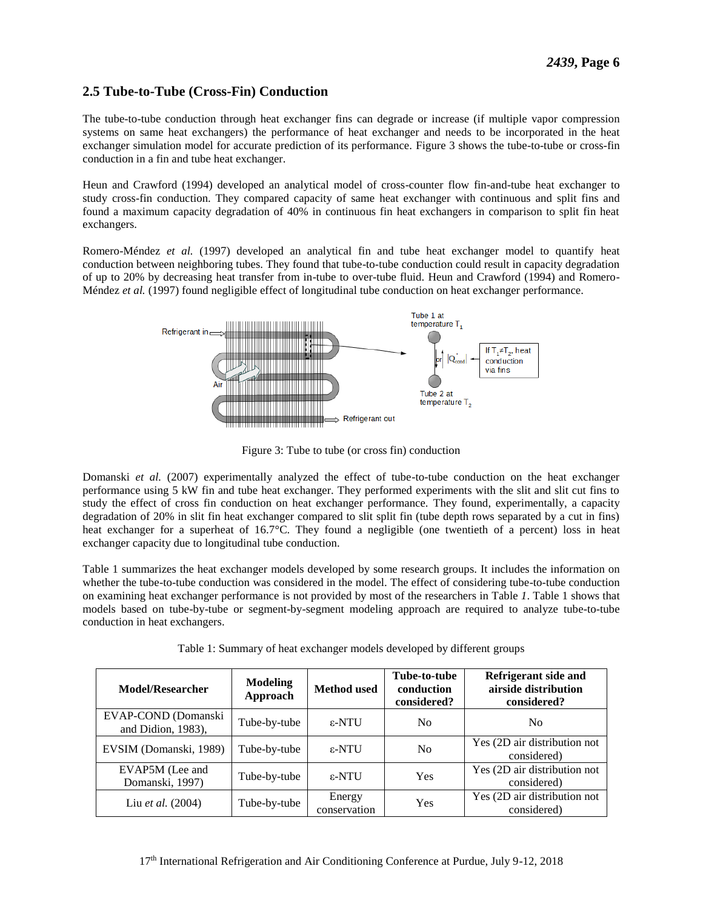## **2.5 Tube-to-Tube (Cross-Fin) Conduction**

The tube-to-tube conduction through heat exchanger fins can degrade or increase (if multiple vapor compression systems on same heat exchangers) the performance of heat exchanger and needs to be incorporated in the heat exchanger simulation model for accurate prediction of its performance. [Figure 3](#page-6-0) shows the tube-to-tube or cross-fin conduction in a fin and tube heat exchanger.

Heun and Crawford (1994) developed an analytical model of cross-counter flow fin-and-tube heat exchanger to study cross-fin conduction. They compared capacity of same heat exchanger with continuous and split fins and found a maximum capacity degradation of 40% in continuous fin heat exchangers in comparison to split fin heat exchangers.

Romero-Méndez *et al.* (1997) developed an analytical fin and tube heat exchanger model to quantify heat conduction between neighboring tubes. They found that tube-to-tube conduction could result in capacity degradation of up to 20% by decreasing heat transfer from in-tube to over-tube fluid. Heun and Crawford (1994) and Romero-Méndez *et al.* (1997) found negligible effect of longitudinal tube conduction on heat exchanger performance.



Figure 3: Tube to tube (or cross fin) conduction

<span id="page-6-0"></span>Domanski *et al.* (2007) experimentally analyzed the effect of tube-to-tube conduction on the heat exchanger performance using 5 kW fin and tube heat exchanger. They performed experiments with the slit and slit cut fins to study the effect of cross fin conduction on heat exchanger performance. They found, experimentally, a capacity degradation of 20% in slit fin heat exchanger compared to slit split fin (tube depth rows separated by a cut in fins) heat exchanger for a superheat of 16.7°C. They found a negligible (one twentieth of a percent) loss in heat exchanger capacity due to longitudinal tube conduction.

[Table 1](#page-6-1) summarizes the heat exchanger models developed by some research groups. It includes the information on whether the tube-to-tube conduction was considered in the model. The effect of considering tube-to-tube conduction on examining heat exchanger performance is not provided by most of the researchers in [Table](#page-6-1) *1*. Table 1 shows that models based on tube-by-tube or segment-by-segment modeling approach are required to analyze tube-to-tube conduction in heat exchangers.

<span id="page-6-1"></span>

| <b>Model/Researcher</b>                      | <b>Modeling</b><br>Approach | <b>Method</b> used     | Tube-to-tube<br>conduction<br>considered? | Refrigerant side and<br>airside distribution<br>considered? |
|----------------------------------------------|-----------------------------|------------------------|-------------------------------------------|-------------------------------------------------------------|
| EVAP-COND (Domanski<br>and Didion, $1983$ ), | Tube-by-tube                | $ε$ -NTU               | N <sub>0</sub>                            | No.                                                         |
| EVSIM (Domanski, 1989)                       | Tube-by-tube                | $\varepsilon$ -NTU     | N <sub>0</sub>                            | Yes (2D air distribution not<br>considered)                 |
| EVAP5M (Lee and<br>Domanski, 1997)           | Tube-by-tube                | $\varepsilon$ -NTU     | Yes                                       | Yes (2D air distribution not<br>considered)                 |
| Liu et al. (2004)                            | Tube-by-tube                | Energy<br>conservation | Yes                                       | Yes (2D air distribution not<br>considered)                 |

|  | Table 1: Summary of heat exchanger models developed by different groups |
|--|-------------------------------------------------------------------------|
|  |                                                                         |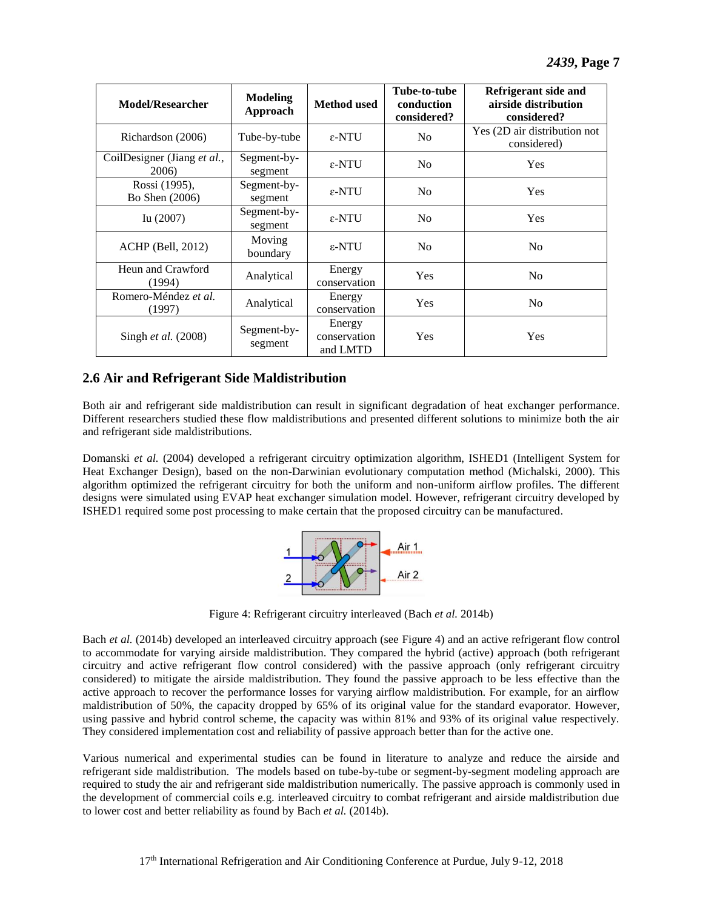| <b>Model/Researcher</b>              | Modeling<br>Approach   | <b>Method</b> used                 | Tube-to-tube<br>conduction<br>considered? | Refrigerant side and<br>airside distribution<br>considered? |
|--------------------------------------|------------------------|------------------------------------|-------------------------------------------|-------------------------------------------------------------|
| Richardson (2006)                    | Tube-by-tube           | $\epsilon$ -NTU                    | N <sub>0</sub>                            | Yes (2D air distribution not<br>considered)                 |
| CoilDesigner (Jiang et al.,<br>2006) | Segment-by-<br>segment | $\varepsilon$ -NTU                 | N <sub>0</sub>                            | <b>Yes</b>                                                  |
| Rossi (1995),<br>Bo Shen (2006)      | Segment-by-<br>segment | $\varepsilon$ -NTU                 | N <sub>0</sub>                            | <b>Yes</b>                                                  |
| Iu $(2007)$                          | Segment-by-<br>segment | $\epsilon$ -NTU                    | N <sub>0</sub>                            | <b>Yes</b>                                                  |
| <b>ACHP</b> (Bell, 2012)             | Moving<br>boundary     | $\epsilon$ -NTU                    | N <sub>0</sub>                            | N <sub>0</sub>                                              |
| Heun and Crawford<br>(1994)          | Analytical             | Energy<br>conservation             | Yes                                       | N <sub>0</sub>                                              |
| Romero-Méndez et al.<br>(1997)       | Analytical             | Energy<br>conservation             | <b>Yes</b>                                | N <sub>0</sub>                                              |
| Singh <i>et al.</i> (2008)           | Segment-by-<br>segment | Energy<br>conservation<br>and LMTD | <b>Yes</b>                                | <b>Yes</b>                                                  |

## **2.6 Air and Refrigerant Side Maldistribution**

Both air and refrigerant side maldistribution can result in significant degradation of heat exchanger performance. Different researchers studied these flow maldistributions and presented different solutions to minimize both the air and refrigerant side maldistributions.

Domanski *et al.* (2004) developed a refrigerant circuitry optimization algorithm, ISHED1 (Intelligent System for Heat Exchanger Design), based on the non-Darwinian evolutionary computation method (Michalski, 2000). This algorithm optimized the refrigerant circuitry for both the uniform and non-uniform airflow profiles. The different designs were simulated using EVAP heat exchanger simulation model. However, refrigerant circuitry developed by ISHED1 required some post processing to make certain that the proposed circuitry can be manufactured.



<span id="page-7-0"></span>Figure 4: Refrigerant circuitry interleaved (Bach *et al.* 2014b)

Bach *et al.* (2014b) developed an interleaved circuitry approach (see [Figure 4\)](#page-7-0) and an active refrigerant flow control to accommodate for varying airside maldistribution. They compared the hybrid (active) approach (both refrigerant circuitry and active refrigerant flow control considered) with the passive approach (only refrigerant circuitry considered) to mitigate the airside maldistribution. They found the passive approach to be less effective than the active approach to recover the performance losses for varying airflow maldistribution. For example, for an airflow maldistribution of 50%, the capacity dropped by 65% of its original value for the standard evaporator. However, using passive and hybrid control scheme, the capacity was within 81% and 93% of its original value respectively. They considered implementation cost and reliability of passive approach better than for the active one.

Various numerical and experimental studies can be found in literature to analyze and reduce the airside and refrigerant side maldistribution. The models based on tube-by-tube or segment-by-segment modeling approach are required to study the air and refrigerant side maldistribution numerically. The passive approach is commonly used in the development of commercial coils e.g. interleaved circuitry to combat refrigerant and airside maldistribution due to lower cost and better reliability as found by Bach *et al.* (2014b).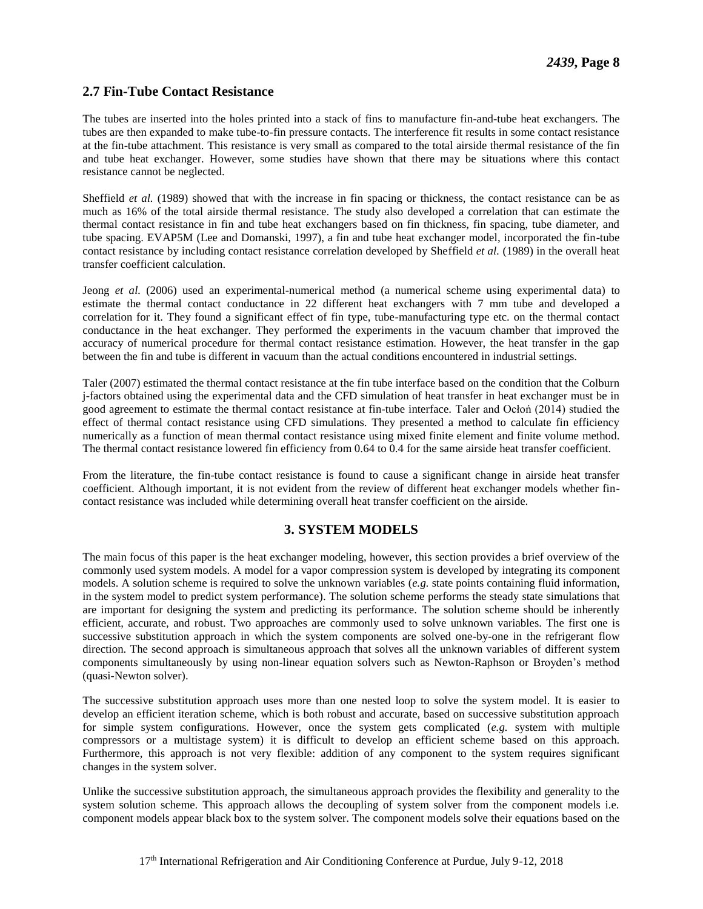#### **2.7 Fin-Tube Contact Resistance**

The tubes are inserted into the holes printed into a stack of fins to manufacture fin-and-tube heat exchangers. The tubes are then expanded to make tube-to-fin pressure contacts. The interference fit results in some contact resistance at the fin-tube attachment. This resistance is very small as compared to the total airside thermal resistance of the fin and tube heat exchanger. However, some studies have shown that there may be situations where this contact resistance cannot be neglected.

Sheffield *et al.* (1989) showed that with the increase in fin spacing or thickness, the contact resistance can be as much as 16% of the total airside thermal resistance. The study also developed a correlation that can estimate the thermal contact resistance in fin and tube heat exchangers based on fin thickness, fin spacing, tube diameter, and tube spacing. EVAP5M (Lee and Domanski, 1997), a fin and tube heat exchanger model, incorporated the fin-tube contact resistance by including contact resistance correlation developed by Sheffield *et al.* (1989) in the overall heat transfer coefficient calculation.

Jeong *et al.* (2006) used an experimental-numerical method (a numerical scheme using experimental data) to estimate the thermal contact conductance in 22 different heat exchangers with 7 mm tube and developed a correlation for it. They found a significant effect of fin type, tube-manufacturing type etc. on the thermal contact conductance in the heat exchanger. They performed the experiments in the vacuum chamber that improved the accuracy of numerical procedure for thermal contact resistance estimation. However, the heat transfer in the gap between the fin and tube is different in vacuum than the actual conditions encountered in industrial settings.

Taler (2007) estimated the thermal contact resistance at the fin tube interface based on the condition that the Colburn j-factors obtained using the experimental data and the CFD simulation of heat transfer in heat exchanger must be in good agreement to estimate the thermal contact resistance at fin-tube interface. Taler and Ocłoń (2014) studied the effect of thermal contact resistance using CFD simulations. They presented a method to calculate fin efficiency numerically as a function of mean thermal contact resistance using mixed finite element and finite volume method. The thermal contact resistance lowered fin efficiency from 0.64 to 0.4 for the same airside heat transfer coefficient.

From the literature, the fin-tube contact resistance is found to cause a significant change in airside heat transfer coefficient. Although important, it is not evident from the review of different heat exchanger models whether fincontact resistance was included while determining overall heat transfer coefficient on the airside.

#### **3. SYSTEM MODELS**

The main focus of this paper is the heat exchanger modeling, however, this section provides a brief overview of the commonly used system models. A model for a vapor compression system is developed by integrating its component models. A solution scheme is required to solve the unknown variables (*e.g.* state points containing fluid information, in the system model to predict system performance). The solution scheme performs the steady state simulations that are important for designing the system and predicting its performance. The solution scheme should be inherently efficient, accurate, and robust. Two approaches are commonly used to solve unknown variables. The first one is successive substitution approach in which the system components are solved one-by-one in the refrigerant flow direction. The second approach is simultaneous approach that solves all the unknown variables of different system components simultaneously by using non-linear equation solvers such as Newton-Raphson or Broyden's method (quasi-Newton solver).

The successive substitution approach uses more than one nested loop to solve the system model. It is easier to develop an efficient iteration scheme, which is both robust and accurate, based on successive substitution approach for simple system configurations. However, once the system gets complicated (*e.g.* system with multiple compressors or a multistage system) it is difficult to develop an efficient scheme based on this approach. Furthermore, this approach is not very flexible: addition of any component to the system requires significant changes in the system solver.

Unlike the successive substitution approach, the simultaneous approach provides the flexibility and generality to the system solution scheme. This approach allows the decoupling of system solver from the component models i.e. component models appear black box to the system solver. The component models solve their equations based on the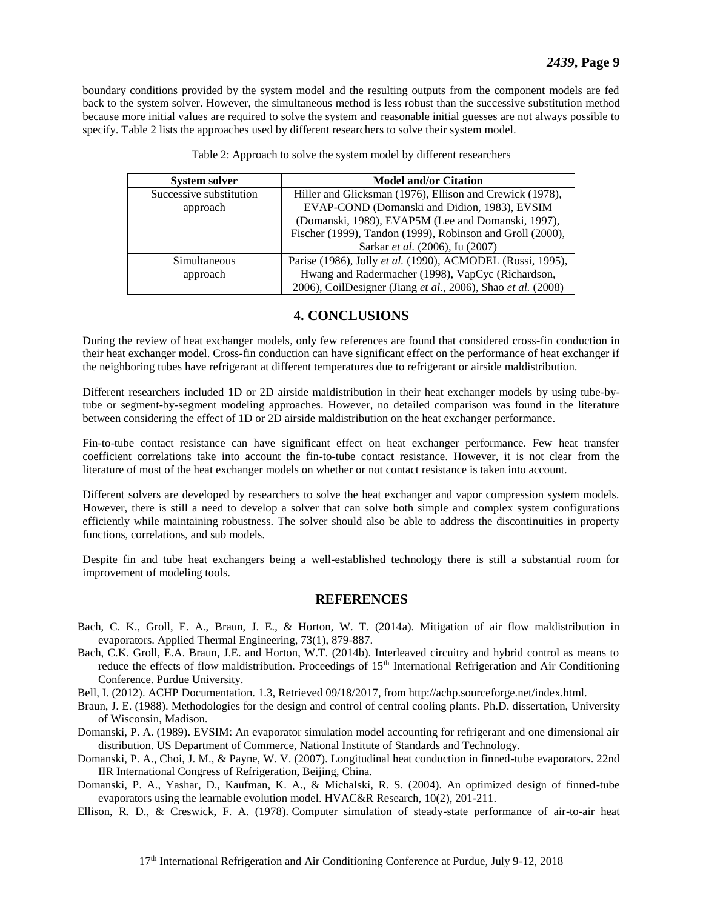boundary conditions provided by the system model and the resulting outputs from the component models are fed back to the system solver. However, the simultaneous method is less robust than the successive substitution method because more initial values are required to solve the system and reasonable initial guesses are not always possible to specify. [Table 2](#page-9-0) lists the approaches used by different researchers to solve their system model.

<span id="page-9-0"></span>

| <b>System solver</b>    | <b>Model and/or Citation</b>                                 |
|-------------------------|--------------------------------------------------------------|
| Successive substitution | Hiller and Glicksman (1976), Ellison and Crewick (1978),     |
| approach                | EVAP-COND (Domanski and Didion, 1983), EVSIM                 |
|                         | (Domanski, 1989), EVAP5M (Lee and Domanski, 1997),           |
|                         | Fischer (1999), Tandon (1999), Robinson and Groll (2000),    |
|                         | Sarkar et al. (2006), Iu (2007)                              |
| Simultaneous            | Parise (1986), Jolly et al. (1990), ACMODEL (Rossi, 1995),   |
| approach                | Hwang and Radermacher (1998), VapCyc (Richardson,            |
|                         | 2006), CoilDesigner (Jiang et al., 2006), Shao et al. (2008) |

|  |  |  | Table 2: Approach to solve the system model by different researchers |
|--|--|--|----------------------------------------------------------------------|
|  |  |  |                                                                      |

#### **4. CONCLUSIONS**

During the review of heat exchanger models, only few references are found that considered cross-fin conduction in their heat exchanger model. Cross-fin conduction can have significant effect on the performance of heat exchanger if the neighboring tubes have refrigerant at different temperatures due to refrigerant or airside maldistribution.

Different researchers included 1D or 2D airside maldistribution in their heat exchanger models by using tube-bytube or segment-by-segment modeling approaches. However, no detailed comparison was found in the literature between considering the effect of 1D or 2D airside maldistribution on the heat exchanger performance.

Fin-to-tube contact resistance can have significant effect on heat exchanger performance. Few heat transfer coefficient correlations take into account the fin-to-tube contact resistance. However, it is not clear from the literature of most of the heat exchanger models on whether or not contact resistance is taken into account.

Different solvers are developed by researchers to solve the heat exchanger and vapor compression system models. However, there is still a need to develop a solver that can solve both simple and complex system configurations efficiently while maintaining robustness. The solver should also be able to address the discontinuities in property functions, correlations, and sub models.

Despite fin and tube heat exchangers being a well-established technology there is still a substantial room for improvement of modeling tools.

#### **REFERENCES**

- Bach, C. K., Groll, E. A., Braun, J. E., & Horton, W. T. (2014a). Mitigation of air flow maldistribution in evaporators. Applied Thermal Engineering, 73(1), 879-887.
- Bach, C.K. Groll, E.A. Braun, J.E. and Horton, W.T. (2014b). Interleaved circuitry and hybrid control as means to reduce the effects of flow maldistribution. Proceedings of 15<sup>th</sup> International Refrigeration and Air Conditioning Conference. Purdue University.

Bell, I. (2012). ACHP Documentation. 1.3, Retrieved 09/18/2017, from http://achp.sourceforge.net/index.html.

- Braun, J. E. (1988). Methodologies for the design and control of central cooling plants. Ph.D. dissertation, University of Wisconsin, Madison.
- Domanski, P. A. (1989). EVSIM: An evaporator simulation model accounting for refrigerant and one dimensional air distribution. US Department of Commerce, National Institute of Standards and Technology.
- Domanski, P. A., Choi, J. M., & Payne, W. V. (2007). Longitudinal heat conduction in finned-tube evaporators. 22nd IIR International Congress of Refrigeration, Beijing, China.
- Domanski, P. A., Yashar, D., Kaufman, K. A., & Michalski, R. S. (2004). An optimized design of finned-tube evaporators using the learnable evolution model. HVAC&R Research, 10(2), 201-211.
- Ellison, R. D., & Creswick, F. A. (1978). Computer simulation of steady-state performance of air-to-air heat